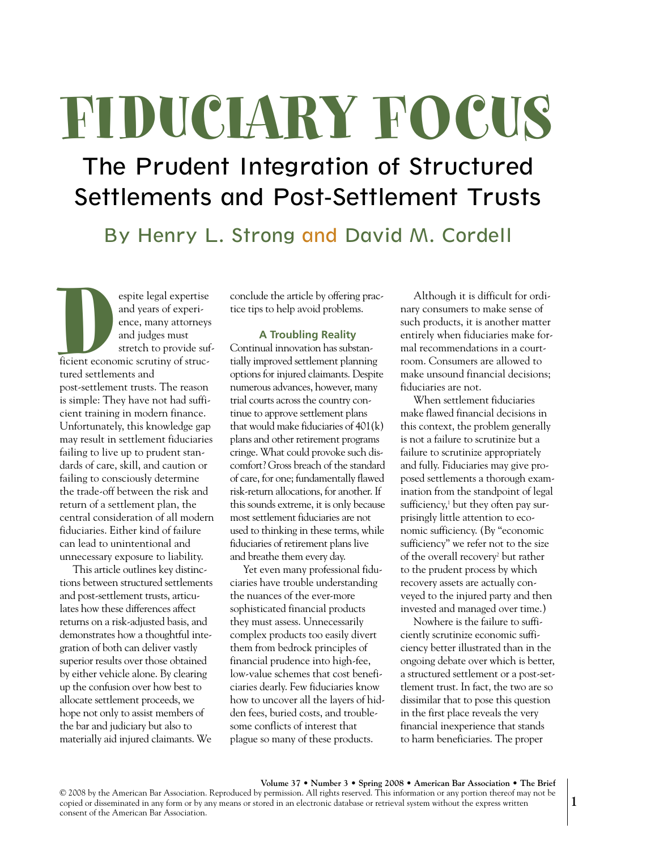# **FIDUCIARY FOCUS**

# The Prudent Integration of Structured Settlements and Post-Settlement Trusts

By Henry L. Strong and David M. Cordell

Experience, many attorneys<br>
and years of experience, many attorneys<br>
and judges must<br>
stretch to provide surficient economic scrutiny of structured settlements and<br>
post-settlement trusts. The reason and years of experience, many attorneys and judges must stretch to provide sufficient economic scrutiny of structured settlements and post-settlement trusts. The reason is simple: They have not had sufficient training in modern finance. Unfortunately, this knowledge gap may result in settlement fiduciaries failing to live up to prudent standards of care, skill, and caution or failing to consciously determine the trade-off between the risk and return of a settlement plan, the central consideration of all modern fiduciaries. Either kind of failure can lead to unintentional and unnecessary exposure to liability.

This article outlines key distinctions between structured settlements and post-settlement trusts, articulates how these differences affect returns on a risk-adjusted basis, and demonstrates how a thoughtful integration of both can deliver vastly superior results over those obtained by either vehicle alone. By clearing up the confusion over how best to allocate settlement proceeds, we hope not only to assist members of the bar and judiciary but also to materially aid injured claimants. We

conclude the article by offering practice tips to help avoid problems.

#### **A Troubling Reality**

Continual innovation has substantially improved settlement planning options for injured claimants. Despite numerous advances, however, many trial courts across the country continue to approve settlement plans that would make fiduciaries of 401(k) plans and other retirement programs cringe. What could provoke such discomfort? Gross breach of the standard of care, for one; fundamentally flawed risk-return allocations, for another. If this sounds extreme, it is only because most settlement fiduciaries are not used to thinking in these terms, while fiduciaries of retirement plans live and breathe them every day.

Yet even many professional fiduciaries have trouble understanding the nuances of the ever-more sophisticated financial products they must assess. Unnecessarily complex products too easily divert them from bedrock principles of financial prudence into high-fee, low-value schemes that cost beneficiaries dearly. Few fiduciaries know how to uncover all the layers of hidden fees, buried costs, and troublesome conflicts of interest that plague so many of these products.

Although it is difficult for ordinary consumers to make sense of such products, it is another matter entirely when fiduciaries make formal recommendations in a courtroom. Consumers are allowed to make unsound financial decisions; fiduciaries are not.

When settlement fiduciaries make flawed financial decisions in this context, the problem generally is not a failure to scrutinize but a failure to scrutinize appropriately and fully. Fiduciaries may give proposed settlements a thorough examination from the standpoint of legal sufficiency, <sup>1</sup> but they often pay surprisingly little attention to economic sufficiency. (By "economic sufficiency" we refer not to the size of the overall recovery<sup>2</sup> but rather to the prudent process by which recovery assets are actually conveyed to the injured party and then invested and managed over time.)

Nowhere is the failure to sufficiently scrutinize economic sufficiency better illustrated than in the ongoing debate over which is better, a structured settlement or a post-settlement trust. In fact, the two are so dissimilar that to pose this question in the first place reveals the very financial inexperience that stands to harm beneficiaries. The proper

**Volume 37 • Number 3 • Spring 2008 • American Bar Association • The Brief** © 2008 by the American Bar Association. Reproduced by permission. All rights reserved. This information or any portion thereof may not be copied or disseminated in any form or by any means or stored in an electronic database or retrieval system without the express written consent of the American Bar Association.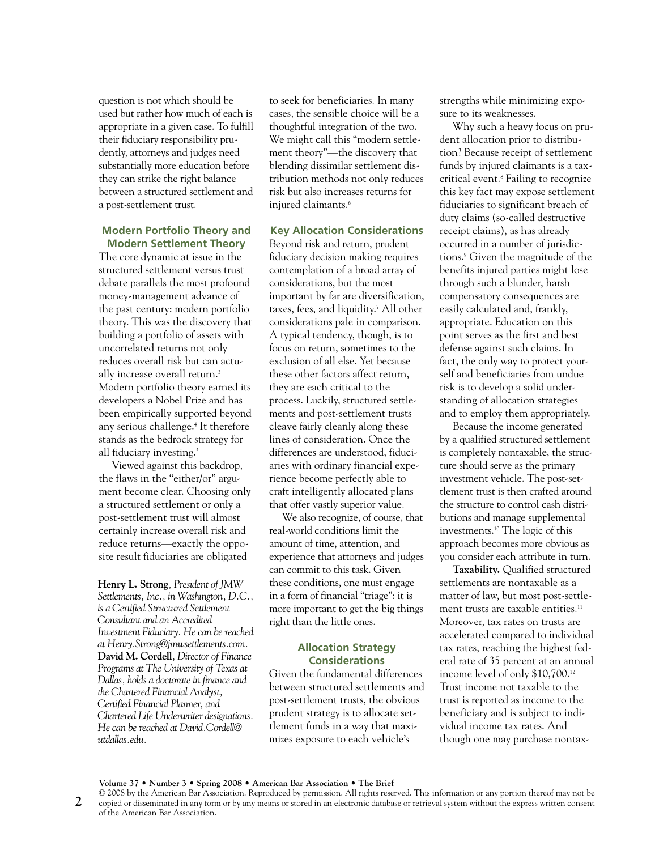question is not which should be used but rather how much of each is appropriate in a given case. To fulfill their fiduciary responsibility prudently, attorneys and judges need substantially more education before they can strike the right balance between a structured settlement and a post-settlement trust.

#### **Modern Portfolio Theory and Modern Settlement Theory**

The core dynamic at issue in the structured settlement versus trust debate parallels the most profound money-management advance of the past century: modern portfolio theory. This was the discovery that building a portfolio of assets with uncorrelated returns not only reduces overall risk but can actually increase overall return.<sup>3</sup> Modern portfolio theory earned its developers a Nobel Prize and has been empirically supported beyond any serious challenge. <sup>4</sup> It therefore stands as the bedrock strategy for all fiduciary investing. 5

Viewed against this backdrop, the flaws in the "either/or" argument become clear. Choosing only a structured settlement or only a post-settlement trust will almost certainly increase overall risk and reduce returns—exactly the opposite result fiduciaries are obligated

**Henry L. Strong***, President of JMW Settlements, Inc., in Washington, D.C., is a Certified Structured Settlement Consultant and an Accredited Investment Fiduciary. Hecan bereached at Henry.Strong@jmwsettlements.com.* **David M. Cordell***, Director of Finance Programs at The University of Texas at Dallas, holds a doctoratein finance and the Chartered Financial Analyst, Certified Financial Planner, and Chartered Life Underwriter designations. Hecan bereached at David.Cordell@ utdallas.edu.*

to seek for beneficiaries. In many cases, the sensible choice will be a thoughtful integration of the two. We might call this "modern settlement theory"—the discovery that blending dissimilar settlement distribution methods not only reduces risk but also increases returns for injured claimants. 6

### **Key Allocation Considerations**

Beyond risk and return, prudent fiduciary decision making requires contemplation of a broad array of considerations, but the most important by far are diversification, taxes, fees, and liquidity. <sup>7</sup> All other considerations pale in comparison. A typical tendency, though, is to focus on return, sometimes to the exclusion of all else. Yet because these other factors affect return, they are each critical to the process. Luckily, structured settlements and post-settlement trusts cleave fairly cleanly along these lines of consideration. Once the differences are understood, fiduciaries with ordinary financial experience become perfectly able to craft intelligently allocated plans that offer vastly superior value.

We also recognize, of course, that real-world conditions limit the amount of time, attention, and experience that attorneys and judges can commit to this task. Given these conditions, one must engage in a form of financial "triage": it is more important to get the big things right than the little ones.

#### **Allocation Strategy Considerations**

Given the fundamental differences between structured settlements and post-settlement trusts, the obvious prudent strategy is to allocate settlement funds in a way that maximizes exposure to each vehicle's

strengths while minimizing exposure to its weaknesses.

Why such a heavy focus on prudent allocation prior to distribution? Because receipt of settlement funds by injured claimants is a taxcritical event. <sup>8</sup> Failing to recognize this key fact may expose settlement fiduciaries to significant breach of duty claims (so-called destructive receipt claims), as has already occurred in a number of jurisdictions. <sup>9</sup> Given the magnitude of the benefits injured parties might lose through such a blunder, harsh compensatory consequences are easily calculated and, frankly, appropriate. Education on this point serves as the first and best defense against such claims. In fact, the only way to protect yourself and beneficiaries from undue risk is to develop a solid understanding of allocation strategies and to employ them appropriately.

Because the income generated by a qualified structured settlement is completely nontaxable, the structure should serve as the primary investment vehicle. The post-settlement trust is then crafted around the structure to control cash distributions and manage supplemental investments. <sup>10</sup> The logic of this approach becomes more obvious as you consider each attribute in turn.

**Taxability.** Qualified structured settlements are nontaxable as a matter of law, but most post-settlement trusts are taxable entities.<sup>11</sup> Moreover, tax rates on trusts are accelerated compared to individual tax rates, reaching the highest federal rate of 35 percent at an annual income level of only \$10,700. 12 Trust income not taxable to the trust is reported as income to the beneficiary and is subject to individual income tax rates. And though one may purchase nontax-

**Volume 37 • Number 3 • Spring 2008 • American Bar Association • The Brief**

<sup>©</sup> 2008 by the American Bar Association. Reproduced by permission. All rights reserved. This information or any portion thereof may not be copied or disseminated in any form or by any means or stored in an electronic database or retrieval system without the express written consent of the American Bar Association.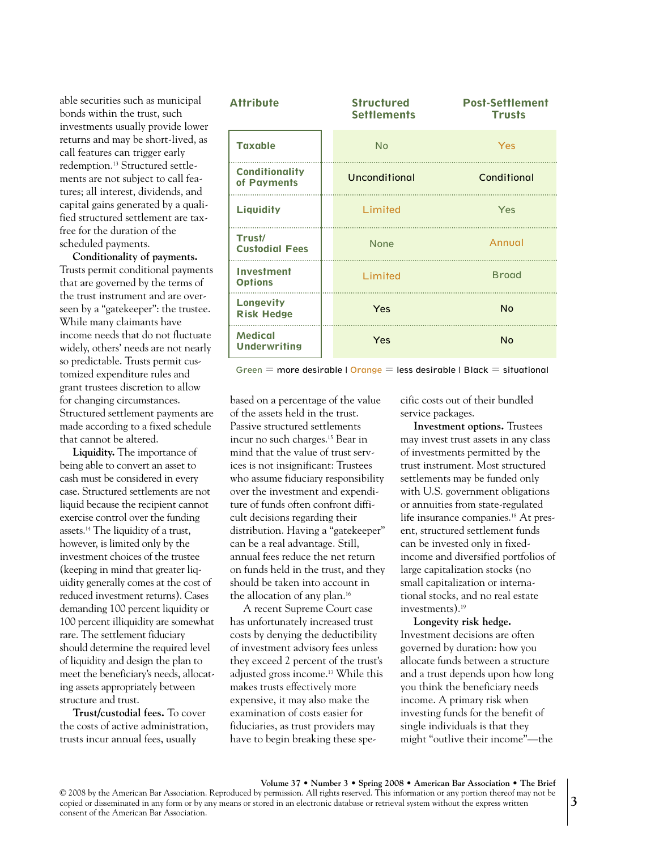able securities such as municipal bonds within the trust, such investments usually provide lower returns and may be short-lived, as call features can trigger early redemption. <sup>13</sup> Structured settlements are not subject to call features; all interest, dividends, and capital gains generated by a qualified structured settlement are taxfree for the duration of the scheduled payments.

**Conditionality of payments.** Trusts permit conditional payments that are governed by the terms of the trust instrument and are overseen by a "gatekeeper": the trustee. While many claimants have income needs that do not fluctuate widely, others' needs are not nearly so predictable. Trusts permit customized expenditure rules and grant trustees discretion to allow for changing circumstances. Structured settlement payments are made according to a fixed schedule that cannot be altered.

**Liquidity.** The importance of being able to convert an asset to cash must be considered in every case. Structured settlements are not liquid because the recipient cannot exercise control over the funding assets. <sup>14</sup> The liquidity of a trust, however, is limited only by the investment choices of the trustee (keeping in mind that greater liquidity generally comes at the cost of reduced investment returns). Cases demanding 100 percent liquidity or 100 percent illiquidity are somewhat rare. The settlement fiduciary should determine the required level of liquidity and design the plan to meet the beneficiary's needs, allocating assets appropriately between structure and trust.

**Trust/custodial fees.** To cover the costs of active administration, trusts incur annual fees, usually

| <b>Attribute</b>                      | <b>Structured</b><br><b>Settlements</b> | <b>Post-Settlement</b><br><b>Trusts</b> |
|---------------------------------------|-----------------------------------------|-----------------------------------------|
| <b>Taxable</b>                        | <b>No</b>                               | Yes                                     |
| <b>Conditionality</b><br>of Payments  | Unconditional                           | Conditional                             |
| <b>Liquidity</b>                      | Limited                                 | Yes                                     |
| Trust/<br><b>Custodial Fees</b>       | <b>None</b>                             | Annual                                  |
| <b>Investment</b><br><b>Options</b>   | Limited                                 | <b>Broad</b>                            |
| <b>Longevity</b><br><b>Risk Hedge</b> | Yes                                     | <b>No</b>                               |
| <b>Medical</b><br><b>Underwriting</b> | Yes                                     | <b>No</b>                               |

Green  $=$  more desirable | Orange  $=$  less desirable | Black  $=$  situational

based on a percentage of the value of the assets held in the trust. Passive structured settlements incur no such charges. <sup>15</sup> Bear in mind that the value of trust services is not insignificant: Trustees who assume fiduciary responsibility over the investment and expenditure of funds often confront difficult decisions regarding their distribution. Having a "gatekeeper" can be a real advantage. Still, annual fees reduce the net return on funds held in the trust, and they should be taken into account in the allocation of any plan. 16

A recent Supreme Court case has unfortunately increased trust costs by denying the deductibility of investment advisory fees unless they exceed 2 percent of the trust's adjusted gross income.<sup>17</sup> While this makes trusts effectively more expensive, it may also make the examination of costs easier for fiduciaries, as trust providers may have to begin breaking these specific costs out of their bundled service packages.

**Investment options.** Trustees may invest trust assets in any class of investments permitted by the trust instrument. Most structured settlements may be funded only with U.S. government obligations or annuities from state-regulated life insurance companies. <sup>18</sup> At present, structured settlement funds can be invested only in fixedincome and diversified portfolios of large capitalization stocks (no small capitalization or international stocks, and no real estate investments). 19

**Longevity risk hedge.** Investment decisions are often governed by duration: how you allocate funds between a structure and a trust depends upon how long you think the beneficiary needs income. A primary risk when investing funds for the benefit of single individuals is that they might "outlive their income"—the

**Volume 37 • Number 3 • Spring 2008 • American Bar Association • The Brief** © 2008 by the American Bar Association. Reproduced by permission. All rights reserved. This information or any portion thereof may not be copied or disseminated in any form or by any means or stored in an electronic database or retrieval system without the express written consent of the American Bar Association.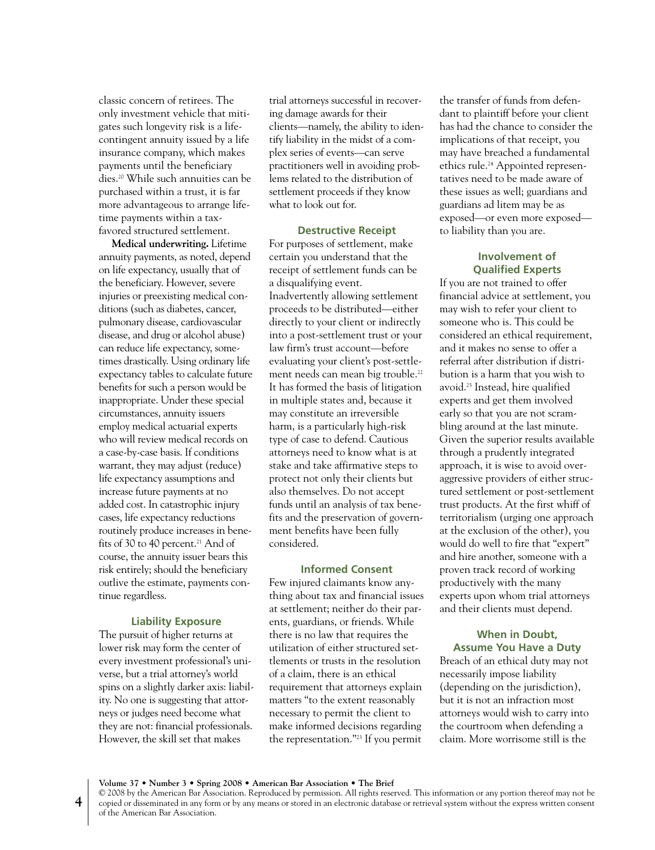classic concern of retirees. The only investment vehicle that mitigates such longevity risk is a lifecontingent annuity issued by a life insurance company, which makes payments until the beneficiary dies. <sup>20</sup> While such annuities can be purchased within a trust, it is far more advantageous to arrange lifetime payments within a taxfavored structured settlement.

**Medical underwriting.** Lifetime annuity payments, as noted, depend on life expectancy, usually that of the beneficiary. However, severe injuries or preexisting medical conditions (such as diabetes, cancer, pulmonary disease, cardiovascular disease, and drug or alcohol abuse) can reduce life expectancy, sometimes drastically. Using ordinary life expectancy tables to calculate future benefits for such a person would be inappropriate. Under these special circumstances, annuity issuers employ medical actuarial experts who will review medical records on a case-by-case basis. If conditions warrant, they may adjust (reduce) life expectancy assumptions and increase future payments at no added cost. In catastrophic injury cases, life expectancy reductions routinely produce increases in benefits of 30 to 40 percent. <sup>21</sup> And of course, the annuity issuer bears this risk entirely; should the beneficiary outlive the estimate, payments continue regardless.

#### **Liability Exposure**

The pursuit of higher returns at lower risk may form the center of every investment professional's universe, but a trial attorney's world spins on a slightly darker axis: liability. No one is suggesting that attorneys or judges need become what they are not: financial professionals. However, the skill set that makes

trial attorneys successful in recovering damage awards for their clients—namely, the ability to identify liability in the midst of a complex series of events—can serve practitioners well in avoiding problems related to the distribution of settlement proceeds if they know what to look out for.

#### **Destructive Receipt**

For purposes of settlement, make certain you understand that the receipt of settlement funds can be a disqualifying event. Inadvertently allowing settlement proceeds to be distributed—either directly to your client or indirectly into a post-settlement trust or your law firm's trust account—before evaluating your client's post-settlement needs can mean big trouble. 22 It has formed the basis of litigation in multiple states and, because it may constitute an irreversible harm, is a particularly high-risk type of case to defend. Cautious attorneys need to know what is at stake and take affirmative steps to protect not only their clients but also themselves. Do not accept funds until an analysis of tax benefits and the preservation of government benefits have been fully considered.

#### **Informed Consent**

Few injured claimants know anything about tax and financial issues at settlement; neither do their parents, guardians, or friends. While there is no law that requires the utilization of either structured settlements or trusts in the resolution of a claim, there is an ethical requirement that attorneys explain matters "to the extent reasonably necessary to permit the client to make informed decisions regarding the representation."23 If you permit

the transfer of funds from defendant to plaintiff before your client has had the chance to consider the implications of that receipt, you may have breached a fundamental ethics rule. <sup>24</sup> Appointed representatives need to be made aware of these issues as well; guardians and guardians ad litem may be as exposed—or even more exposed to liability than you are.

# **Involvement of Qualified Experts**

If you are not trained to offer financial advice at settlement, you may wish to refer your client to someone who is. This could be considered an ethical requirement, and it makes no sense to offer a referral after distribution if distribution is a harm that you wish to avoid. <sup>25</sup> Instead, hire qualified experts and get them involved early so that you are not scrambling around at the last minute. Given the superior results available through a prudently integrated approach, it is wise to avoid overaggressive providers of either structured settlement or post-settlement trust products. At the first whiff of territorialism (urging one approach at the exclusion of the other), you would do well to fire that "expert" and hire another, someone with a proven track record of working productively with the many experts upon whom trial attorneys and their clients must depend.

# **When in Doubt, Assume You Have a Duty**

Breach of an ethical duty may not necessarily impose liability (depending on the jurisdiction), but it is not an infraction most attorneys would wish to carry into the courtroom when defending a claim. More worrisome still is the

**Volume 37 • Number 3 • Spring 2008 • American Bar Association • The Brief**

© 2008 by the American Bar Association. Reproduced by permission. All rights reserved. This information or any portion thereof may not be copied or disseminated in any form or by any means or stored in an electronic database or retrieval system without the express written consent of the American Bar Association.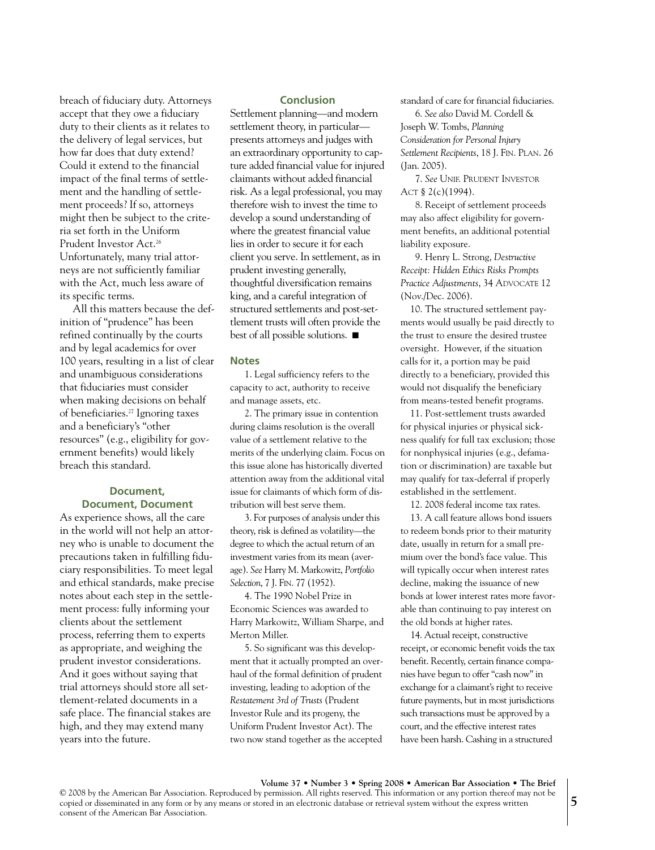breach of fiduciary duty. Attorneys accept that they owe a fiduciary duty to their clients as it relates to the delivery of legal services, but how far does that duty extend? Could it extend to the financial impact of the final terms of settlement and the handling of settlement proceeds? If so, attorneys might then be subject to the criteria set forth in the Uniform Prudent Investor Act. 26 Unfortunately, many trial attorneys are not sufficiently familiar with the Act, much less aware of its specific terms.

All this matters because the definition of "prudence" has been refined continually by the courts and by legal academics for over 100 years, resulting in a list of clear and unambiguous considerations that fiduciaries must consider when making decisions on behalf of beneficiaries. <sup>27</sup> Ignoring taxes and a beneficiary's "other resources" (e.g., eligibility for government benefits) would likely breach this standard.

# **Document, Document, Document**

As experience shows, all the care in the world will not help an attorney who is unable to document the precautions taken in fulfilling fiduciary responsibilities. To meet legal and ethical standards, make precise notes about each step in the settlement process: fully informing your clients about the settlement process, referring them to experts as appropriate, and weighing the prudent investor considerations. And it goes without saying that trial attorneys should store all settlement-related documents in a safe place. The financial stakes are high, and they may extend many years into the future.

#### **Conclusion**

Settlement planning—and modern settlement theory, in particular presents attorneys and judges with an extraordinary opportunity to capture added financial value for injured claimants without added financial risk. As a legal professional, you may therefore wish to invest the time to develop a sound understanding of where the greatest financial value lies in order to secure it for each client you serve. In settlement, as in prudent investing generally, thoughtful diversification remains king, and a careful integration of structured settlements and post-settlement trusts will often provide the best of all possible solutions. ■

#### **Notes**

1. Legal sufficiency refers to the capacity to act, authority to receive and manage assets, etc.

2. The primary issue in contention during claims resolution is the overall value of a settlement relative to the merits of the underlying claim. Focus on this issue alone has historically diverted attention away from the additional vital issue for claimants of which form of distribution will best serve them.

3. For purposes of analysis under this theory, risk is defined as volatility—the degree to which the actual return of an investment varies from its mean (average). *See* Harry M. Markowitz, *Portfolio Selection*, 7 J. FIN. 77 (1952).

4. The 1990 Nobel Prize in Economic Sciences was awarded to Harry Markowitz, William Sharpe, and Merton Miller.

5. So significant was this development that it actually prompted an overhaul of the formal definition of prudent investing, leading to adoption of the *Restatement 3rd of Trusts* (Prudent Investor Rule and its progeny, the Uniform Prudent Investor Act). The two now stand together as the accepted

standard of care for financial fiduciaries.

6. *See also* David M. Cordell & Joseph W. Tombs, *Planning Consideration for Personal Injury Settlement Recipients*, 18 J. FIN. PLAN. 26 (Jan. 2005).

7. *See* UNIF. PRUDENT INVESTOR ACT § 2(c)(1994).

8. Receipt of settlement proceeds may also affect eligibility for government benefits, an additional potential liability exposure.

9. Henry L. Strong, *Destructive Receipt: Hidden Ethics Risks Prompts Practice Adjustments*, 34 ADVOCATE 12 (Nov./Dec. 2006).

10. The structured settlement payments would usually be paid directly to the trust to ensure the desired trustee oversight. However, if the situation calls for it, a portion may be paid directly to a beneficiary, provided this would not disqualify the beneficiary from means-tested benefit programs.

11. Post-settlement trusts awarded for physical injuries or physical sickness qualify for full tax exclusion; those for nonphysical injuries (e.g., defamation or discrimination) are taxable but may qualify for tax-deferral if properly established in the settlement.

12. 2008 federal income tax rates.

13. A call feature allows bond issuers to redeem bonds prior to their maturity date, usually in return for a small premium over the bond's face value. This will typically occur when interest rates decline, making the issuance of new bonds at lower interest rates more favorable than continuing to pay interest on the old bonds at higher rates.

14. Actual receipt, constructive receipt, or economic benefit voids the tax benefit. Recently, certain finance companies have begun to offer "cash now" in exchange for a claimant's right to receive future payments, but in most jurisdictions such transactions must be approved by a court, and the effective interest rates have been harsh. Cashing in a structured

**Volume 37 • Number 3 • Spring 2008 • American Bar Association • The Brief** © 2008 by the American Bar Association. Reproduced by permission. All rights reserved. This information or any portion thereof may not be copied or disseminated in any form or by any means or stored in an electronic database or retrieval system without the express written consent of the American Bar Association.